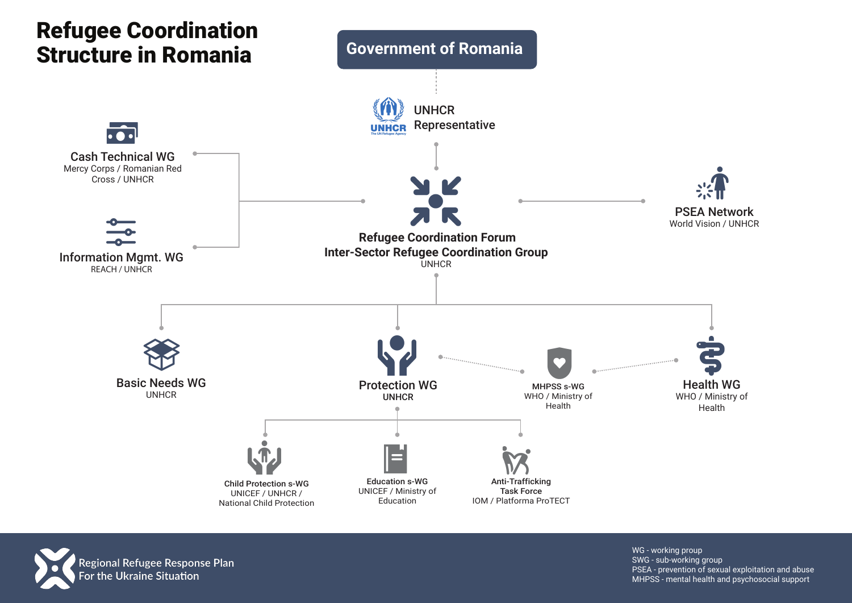



WG - working proup SWG - sub-working group PSEA - prevention of sexual exploitation and abuse MHPSS - mental health and psychosocial support